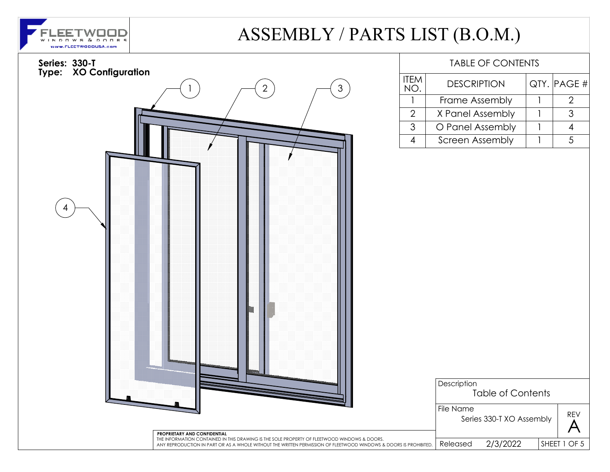

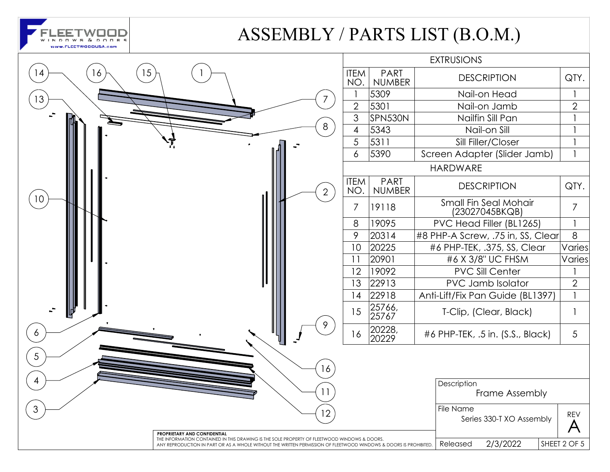

|          |                                                                                                                                                                                                                   |                | <b>EXTRUSIONS</b>  |                              |                                         |                 |
|----------|-------------------------------------------------------------------------------------------------------------------------------------------------------------------------------------------------------------------|----------------|--------------------|------------------------------|-----------------------------------------|-----------------|
| 15<br>16 |                                                                                                                                                                                                                   |                | <b>ITEM</b><br>NO. | <b>PART</b><br><b>NUMBER</b> | <b>DESCRIPTION</b>                      | QTY.            |
| 13       |                                                                                                                                                                                                                   | $\overline{7}$ |                    | 5309                         | Nail-on Head                            |                 |
|          |                                                                                                                                                                                                                   |                | $\overline{2}$     | 5301                         | Nail-on Jamb                            | $\overline{2}$  |
|          |                                                                                                                                                                                                                   |                | 3                  | SPN530N                      | Nailfin Sill Pan                        |                 |
|          |                                                                                                                                                                                                                   | 8              | $\overline{4}$     | 5343                         | Nail-on Sill                            |                 |
|          |                                                                                                                                                                                                                   |                | 5                  | 5311                         | Sill Filler/Closer                      |                 |
|          |                                                                                                                                                                                                                   |                | 6                  | 5390                         | Screen Adapter (Slider Jamb)            | $\mathbf{1}$    |
|          |                                                                                                                                                                                                                   |                |                    |                              | <b>HARDWARE</b>                         |                 |
|          |                                                                                                                                                                                                                   | $\overline{2}$ | <b>ITEM</b><br>NO. | <b>PART</b><br><b>NUMBER</b> | <b>DESCRIPTION</b>                      | QTY.            |
| 10       |                                                                                                                                                                                                                   |                | $\overline{7}$     | 19118                        | Small Fin Seal Mohair<br>(23027045BKQB) | $\overline{7}$  |
|          |                                                                                                                                                                                                                   |                | 8                  | 19095                        | PVC Head Filler (BL1265)                |                 |
|          |                                                                                                                                                                                                                   |                | 9                  | 20314                        | #8 PHP-A Screw, .75 in, SS, Clear       | 8               |
|          |                                                                                                                                                                                                                   |                | 10                 | 20225                        | #6 PHP-TEK, .375, SS, Clear             | Varies          |
|          |                                                                                                                                                                                                                   |                | 11                 | 20901                        | #6 X 3/8" UC FHSM                       | Varies          |
|          |                                                                                                                                                                                                                   |                | 12                 | 19092                        | <b>PVC Sill Center</b>                  |                 |
|          |                                                                                                                                                                                                                   |                | 13                 | 22913                        | PVC Jamb Isolator                       | $\overline{2}$  |
|          |                                                                                                                                                                                                                   |                | 14                 | 22918                        | Anti-Lift/Fix Pan Guide (BL1397)        |                 |
| 凹        |                                                                                                                                                                                                                   |                | 15                 | 25766,<br>25767              | T-Clip, (Clear, Black)                  |                 |
| 6        |                                                                                                                                                                                                                   | 9              | 16                 | 20228,<br>20229              | #6 PHP-TEK, .5 in. (S.S., Black)        | $5\overline{)}$ |
|          |                                                                                                                                                                                                                   | 16             |                    |                              |                                         |                 |
|          |                                                                                                                                                                                                                   | 11             |                    |                              | Description<br>Frame Assembly           |                 |
|          | PROPRIETARY AND CONFIDENTIAL                                                                                                                                                                                      | 12             |                    |                              | File Name<br>Series 330-T XO Assembly   | REV             |
|          | THE INFORMATION CONTAINED IN THIS DRAWING IS THE SOLE PROPERTY OF FLEETWOOD WINDOWS & DOORS.<br>ANY REPRODUCTION IN PART OR AS A WHOLE WITHOUT THE WRITTEN PERMISSION OF FLEETWOOD WINDOWS & DOORS IS PROHIBITED. |                |                    | 2/3/2022<br>Released         | SHEET 2 OF 5                            |                 |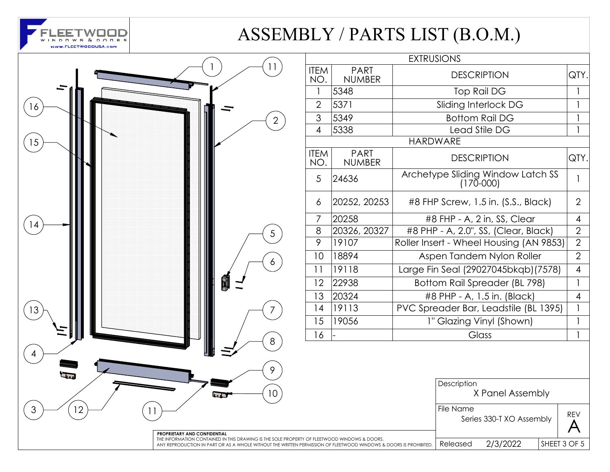



| <b>EXTRUSIONS</b>  |                              |                                                |     |  |  |
|--------------------|------------------------------|------------------------------------------------|-----|--|--|
| <b>ITEM</b><br>NO. | <b>PART</b><br><b>NUMBER</b> | <b>DESCRIPTION</b>                             |     |  |  |
| 1                  | 5348                         | <b>Top Rail DG</b>                             |     |  |  |
| $\overline{2}$     | 5371                         | Sliding Interlock DG                           |     |  |  |
| 3                  | 5349                         | <b>Bottom Rail DG</b>                          |     |  |  |
| $\overline{4}$     | 5338                         | Lead Stile DG                                  |     |  |  |
|                    | <b>HARDWARE</b>              |                                                |     |  |  |
| <b>ITEM</b><br>NO. | <b>PART</b><br><b>NUMBER</b> | <b>DESCRIPTION</b>                             |     |  |  |
| 5                  | 24636                        | Archetype Sliding Window Latch SS<br>(170-000) |     |  |  |
| 6                  | 20252, 20253                 | #8 FHP Screw, 1.5 in. (S.S., Black)            |     |  |  |
| $\overline{7}$     | 20258                        | #8 FHP - A, 2 in, SS, Clear                    |     |  |  |
| 8                  | 20326, 20327                 | #8 PHP - A, 2.0", SS, (Clear, Black)           |     |  |  |
| 9                  | 19107                        | Roller Insert - Wheel Housing (AN 9853)        |     |  |  |
| 10                 | 18894                        | Aspen Tandem Nylon Roller                      |     |  |  |
| 11                 | 19118                        | Large Fin Seal (29027045bkqb) (7578)           |     |  |  |
| 12                 | 22938                        | Bottom Rail Spreader (BL 798)                  |     |  |  |
| 13                 | 20324                        | #8 PHP - A, 1.5 in. (Black)                    |     |  |  |
| 14                 | 19113                        | PVC Spreader Bar, Leadstile (BL 1395)          |     |  |  |
| 15                 | 19056                        | 1" Glazing Vinyl (Shown)                       |     |  |  |
| 16                 |                              | Glass                                          |     |  |  |
|                    |                              | Description<br>X Panel Assembly                |     |  |  |
|                    |                              | File Name<br>Series 330-T XO Assembly          | REV |  |  |

Released 2/3/2022

SHEET 3 OF 5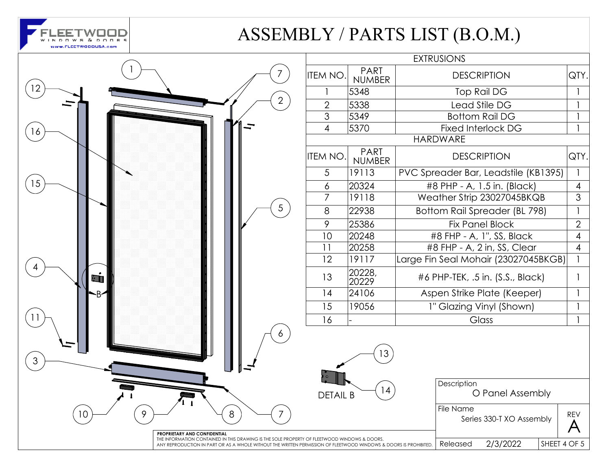

|                |                                                                                                                              |                  |                              | <b>EXTRUSIONS</b>      |
|----------------|------------------------------------------------------------------------------------------------------------------------------|------------------|------------------------------|------------------------|
|                | 7                                                                                                                            | <b>ITEM NO.</b>  | <b>PART</b><br><b>NUMBER</b> | <b>DESC</b>            |
| 12             |                                                                                                                              |                  | 5348                         | Top                    |
|                | $\overline{2}$                                                                                                               | $\overline{2}$   | 5338                         | Lead                   |
|                |                                                                                                                              | $\overline{3}$   | 5349                         | <b>Bottor</b>          |
| 16             |                                                                                                                              | $\overline{4}$   | 5370                         | Fixed In               |
|                |                                                                                                                              |                  |                              | <b>HARDWARE</b>        |
|                |                                                                                                                              | <b>ITEM NO.</b>  | <b>PART</b><br><b>NUMBER</b> | <b>DESC</b>            |
|                |                                                                                                                              | 5                | 19113                        | <b>PVC Spreader Ba</b> |
| 15             |                                                                                                                              | $\boldsymbol{6}$ | 20324                        | #8 PHP - A,            |
|                |                                                                                                                              | $\overline{7}$   | 19118                        | Weather Strip          |
|                | 5                                                                                                                            | 8                | 22938                        | <b>Bottom Rail S</b>   |
|                |                                                                                                                              | 9                | 25386                        | Fix Pa                 |
|                |                                                                                                                              | 10               | 20248                        | #8 FHP - A             |
|                |                                                                                                                              | 11               | 20258                        | #8 FHP - A,            |
|                |                                                                                                                              | 12               | 19117                        | Large Fin Seal Mo      |
| ٦ı             |                                                                                                                              | 13               | 20228,<br>20229              | #6 PHP-TEK, .          |
|                |                                                                                                                              | 14               | 24106                        | Aspen Strike           |
|                |                                                                                                                              | 15               | 19056                        | 1" Glazing             |
| 11             |                                                                                                                              | 16               |                              | $\overline{C}$         |
|                | 6                                                                                                                            |                  |                              |                        |
| $\mathfrak{S}$ |                                                                                                                              |                  | 13                           |                        |
|                |                                                                                                                              | <b>DETAIL B</b>  | 14                           | Description            |
|                |                                                                                                                              |                  |                              |                        |
| 9<br>10        | 8<br>7                                                                                                                       |                  |                              | File Name<br>Seri      |
|                | PROPRIETARY AND CONFIDENTIAL<br>THE INFORMATION CONTAINED IN THIS DRAWING IS THE SOLE PROPERTY OF FLEETWOOD WINDOWS & DOORS. |                  |                              |                        |
|                | ANY REPRODUCTION IN PART OR AS A WHOLE WITHOUT THE WRITTEN PERMISSION OF FLEETWOOD WINDOWS & DOORS IS PROHIBITED.            |                  |                              | Released               |

|                |                              | <b>EXTRUSIONS</b>                    |                |
|----------------|------------------------------|--------------------------------------|----------------|
| EM NO.         | <b>PART</b><br><b>NUMBER</b> | <b>DESCRIPTION</b>                   |                |
| 1              | 5348                         | Top Rail DG                          | 1              |
| $\overline{2}$ | 5338                         | Lead Stile DG                        |                |
| $\mathfrak 3$  | 5349                         | <b>Bottom Rail DG</b>                |                |
| $\overline{4}$ | 5370                         | <b>Fixed Interlock DG</b>            |                |
|                |                              | <b>HARDWARE</b>                      |                |
| EM NO.         | <b>PART</b><br><b>NUMBER</b> | <b>DESCRIPTION</b>                   | QTY.           |
| 5              | 19113                        | PVC Spreader Bar, Leadstile (KB1395) | 1              |
| 6              | 20324                        | #8 PHP - A, 1.5 in. (Black)          | 4              |
| $\overline{7}$ | 19118                        | Weather Strip 23027045BKQB           | 3              |
| 8              | 22938                        | Bottom Rail Spreader (BL 798)        | 1              |
| 9              | 25386                        | <b>Fix Panel Block</b>               | $\overline{2}$ |
| 10             | 20248                        | #8 FHP - A, 1", SS, Black            | 4              |
| 11             | 20258                        | #8 FHP - A, 2 in, SS, Clear          | 4              |
| 12             | 19117                        | Large Fin Seal Mohair (23027045BKGB) | 1              |
| 13             | 20228,<br>20229              | #6 PHP-TEK, .5 in. (S.S., Black)     | 1              |
| 14             | 24106                        | Aspen Strike Plate (Keeper)          | 1              |
| 15             | 19056                        | 1" Glazing Vinyl (Shown)             | 1              |
| 16             |                              | Glass                                | 1              |
|                |                              |                                      |                |

O Panel Assembly iption

Series 330-T XO Assembly  $\left|\begin{array}{c} \mathsf{KEY} \\ \mathsf{A} \end{array}\right|$ REV

SHEET 4 OF 5  $used$  2/3/2022